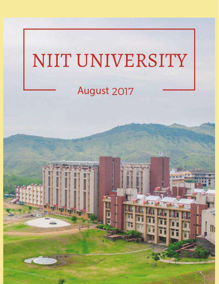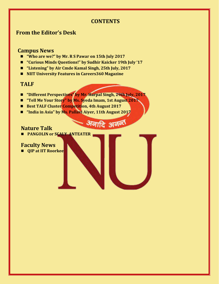## **CONTENTS**

अनादि अनन्त

# **From the Editor's Desk**

## **Campus News**

- *"Who are we?"* by Mr. R S Pawar on 15th July 2017
- **"Curious Minds Questions!" by Sudhir Kaicker 19th July '17**
- **"Listening" by Air Cmde Kamal Singh, 25th July, 2017**
- **NIIT University Features in Careers360 Magazine**

## **TALF**

- "Different Perspectives" by Mr. Harpal Singh, 29th July, 2017
- **"Tell Me Your Story" by Ms. Syeda Imam, 1st August 2017**
- Best TALF Cluster Competition, 4th August 2017
- **"India in Asia" by Ms. Pallavi Aiyer, 11th August 2017**

## **Nature Talk**

**PANGOLIN or SCALY ANTEATER** 

## **Faculty News**

**QIP at IIT Roorkee**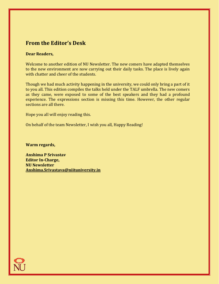# **From the Editor's Desk**

#### **Dear Readers,**

Welcome to another edition of NU Newsletter. The new comers have adapted themselves to the new environment are now carrying out their daily tasks. The place is lively again with chatter and cheer of the students.

Though we had much activity happening in the university, we could only bring a part of it to you all. This edition compiles the talks held under the TALF umbrella. The new comers as they came, were exposed to some of the best speakers and they had a profound experience. The expressions section is missing this time. However, the other regular sections are all there.

Hope you all will enjoy reading this.

On behalf of the team Newsletter, I wish you all, Happy Reading!

**Warm regards,**

**Anshima P Srivastav Editor In-Charge, NU Newsletter [Anshima.Srivastava@niituniversity.in](mailto:Anshima.Srivastava@niituniversity.in)**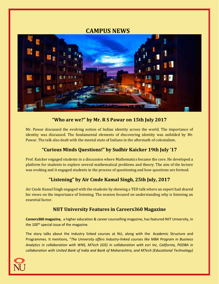# **CAMPUS NEWS**



## **"Who are we?" by Mr. R S Pawar on 15th July 2017**

Mr. Pawar discussed the evolving notion of Indian identity across the world. The importance of identity was discussed. The fundamental elements of discovering identity was unfolded by Mr. Pawar. The talk also dealt with the mental state of Indians in the aftermath of colonialism.

## **"Curious Minds Questions!" by Sudhir Kaicker 19th July '17**

Prof. Kaicker engaged students in a discussion where Mathematics became the core. He developed a platform for students to explore several mathematical problems and theory. The aim of the lecture was evoking and it engaged students in the process of questioning and how questions are formed.

## **"Listening" by Air Cmde Kamal Singh, 25th July, 2017**

Air Cmde Kamal Singh engaged with the students by showing a TED talk where an expert had shared his views on the importance of listening. The session focused on understanding why is listening an essential factor.

### **NIIT University Features in Careers360 Magazine**

**Careers360 magazine,** a higher education & career counselling magazine, has featured NIIT University, in the 100<sup>th</sup> special issue of the magazine.

The story talks about the Industry linked courses at NU, along with the Academic Structure and Programmes. It mentions, "*The University offers Industry-linked courses like MBA Program in Business Analytics in collaboration with WNS, MTech (GIS) in collaboration with esri Inc, California, PGDBA in collaboration with United Bank of India and Bank of Maharashtra, and MTech (Educational Technology)* 

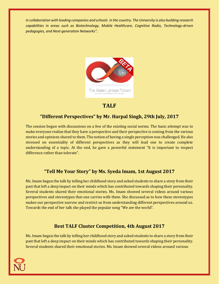*in collaboration with leading companies and schools in the country. The University is also building research capabilities in areas such as Biotechnology, Mobile Healthcare, Cognitive Radio, Technology-driven pedagogies, and Next-generation Networks".*



## **TALF**

### **"Different Perspectives" by Mr. Harpal Singh, 29th July, 2017**

The session begun with discussions on a few of the existing social norms. The basic attempt was to make everyone realize that they have a perspective and their perspective is coming from the various stories and opinions shared to them. The notion of having a single perception was challenged. He also stressed on essentiality of different perspectives as they will lead one to create complete understanding of a topic. At the end, he gave a powerful statement "It is important to respect difference rather than tolerate".

### **"Tell Me Your Story" by Ms. Syeda Imam, 1st August 2017**

Ms. Imam begun the talk by telling her childhood story and asked students to share a story from their past that left a deep impact on their minds which has contributed towards shaping their personality. Several students shared their emotional stories. Ms. Imam showed several videos around various perspectives and stereotypes that one carries with them. She discussed as to how these stereotypes makes our perspective narrow and restrict us from understanding different perspectives around us. Towards the end of her talk she played the popular song "We are the world".

#### **Best TALF Cluster Competition, 4th August 2017**

Ms. Imam begun the talk by telling her childhood story and asked students to share a story from their past that left a deep impact on their minds which has contributed towards shaping their personality. Several students shared their emotional stories. Ms. Imam showed several videos around various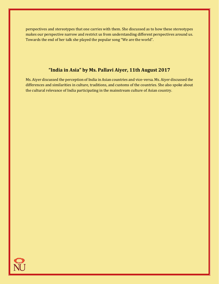perspectives and stereotypes that one carries with them. She discussed as to how these stereotypes makes our perspective narrow and restrict us from understanding different perspectives around us. Towards the end of her talk she played the popular song "We are the world".

### **"India in Asia" by Ms. Pallavi Aiyer, 11th August 2017**

Ms. Aiyer discussed the perception of India in Asian countries and vice-versa. Ms. Aiyer discussed the differences and similarities in culture, traditions, and customs of the countries. She also spoke about the cultural relevance of India participating in the mainstream culture of Asian country.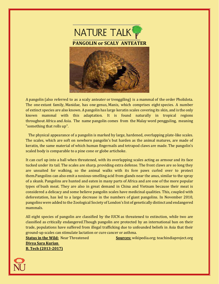

A pangolin (also referred to as a scaly anteater or trenggiling) is a mammal of the order Pholidota. The one extant family, Manidae, has one genus, Manis, which comprises eight species. A number of extinct species are also known. A pangolin has large keratin scales covering its skin, and is the only known mammal with this adaptation. It is found naturally in tropical regions throughout Africa and Asia. The name pangolin comes from the Malay word pengguling, meaning "something that rolls up".

 The physical appearance of a pangolin is marked by large, hardened, overlapping plate-like scales. The scales, which are soft on newborn pangolin's but harden as the animal matures, are made of keratin, the same material of which human fingernails and tetrapod claws are made. The pangolin's scaled body is comparable to a pine cone or globe artichoke.

It can curl up into a ball when threatened, with its overlapping scales acting as armour and its face tucked under its tail. The scales are sharp, providing extra defense. The front claws are so long they are unsuited for walking, so the animal walks with its fore paws curled over to protect them.Pangolins can also emit a noxious-smelling acid from glands near the anus, similar to the spray of a skunk. Pangolins are hunted and eaten in many parts of Africa and are one of the more popular types of bush meat. They are also in great demand in China and Vietnam because their meat is considered a delicacy and some believe pangolin scales have medicinal qualities. This, coupled with deforestation, has led to a large decrease in the numbers of giant pangolins. In November 2010, pangolins were added to the Zoological Society of London's list of genetically distinct and endangered mammals.

All eight species of pangolin are classified by the IUCN as threatened to extinction, while two are classified as critically endangered.Though pangolin are protected by an international ban on their trade, populations have suffered from illegal trafficking due to unfounded beliefs in Asia that their ground-up scales can stimulate lactation or cure cancer or asthma.

**Divya Sara Kurian B. Tech (2013-2017)**

**Status in the Wild:** Near Threatened **Sources:** wikipedia.org; teachindiaproject.org